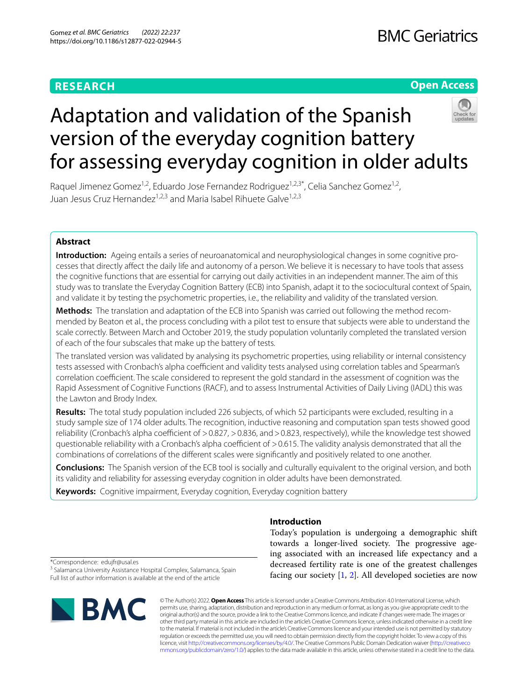# **RESEARCH**

# **Open Access**



# Adaptation and validation of the Spanish version of the everyday cognition battery for assessing everyday cognition in older adults

Raquel Jimenez Gomez<sup>1,2</sup>, Eduardo Jose Fernandez Rodriguez<sup>1,2,3\*</sup>, Celia Sanchez Gomez<sup>1,2</sup>, Juan Jesus Cruz Hernandez1,2,3 and Maria Isabel Rihuete Galve1,2,3

# **Abstract**

**Introduction:** Ageing entails a series of neuroanatomical and neurophysiological changes in some cognitive processes that directly afect the daily life and autonomy of a person. We believe it is necessary to have tools that assess the cognitive functions that are essential for carrying out daily activities in an independent manner. The aim of this study was to translate the Everyday Cognition Battery (ECB) into Spanish, adapt it to the sociocultural context of Spain, and validate it by testing the psychometric properties, i.e., the reliability and validity of the translated version.

**Methods:** The translation and adaptation of the ECB into Spanish was carried out following the method recommended by Beaton et al., the process concluding with a pilot test to ensure that subjects were able to understand the scale correctly. Between March and October 2019, the study population voluntarily completed the translated version of each of the four subscales that make up the battery of tests.

The translated version was validated by analysing its psychometric properties, using reliability or internal consistency tests assessed with Cronbach's alpha coefficient and validity tests analysed using correlation tables and Spearman's correlation coefficient. The scale considered to represent the gold standard in the assessment of cognition was the Rapid Assessment of Cognitive Functions (RACF), and to assess Instrumental Activities of Daily Living (IADL) this was the Lawton and Brody Index.

**Results:** The total study population included 226 subjects, of which 52 participants were excluded, resulting in a study sample size of 174 older adults. The recognition, inductive reasoning and computation span tests showed good reliability (Cronbach's alpha coefficient of > 0.827, > 0.836, and > 0.823, respectively), while the knowledge test showed questionable reliability with a Cronbach's alpha coefficient of >0.615. The validity analysis demonstrated that all the combinations of correlations of the diferent scales were signifcantly and positively related to one another.

**Conclusions:** The Spanish version of the ECB tool is socially and culturally equivalent to the original version, and both its validity and reliability for assessing everyday cognition in older adults have been demonstrated.

**Keywords:** Cognitive impairment, Everyday cognition, Everyday cognition battery

# **Introduction**

Today's population is undergoing a demographic shift towards a longer-lived society. The progressive ageing associated with an increased life expectancy and a decreased fertility rate is one of the greatest challenges facing our society  $[1, 2]$  $[1, 2]$  $[1, 2]$  $[1, 2]$ . All developed societies are now

\*Correspondence: edujfr@usal.es

<sup>3</sup> Salamanca University Assistance Hospital Complex, Salamanca, Spain Full list of author information is available at the end of the article



© The Author(s) 2022. **Open Access** This article is licensed under a Creative Commons Attribution 4.0 International License, which permits use, sharing, adaptation, distribution and reproduction in any medium or format, as long as you give appropriate credit to the original author(s) and the source, provide a link to the Creative Commons licence, and indicate if changes were made. The images or other third party material in this article are included in the article's Creative Commons licence, unless indicated otherwise in a credit line to the material. If material is not included in the article's Creative Commons licence and your intended use is not permitted by statutory regulation or exceeds the permitted use, you will need to obtain permission directly from the copyright holder. To view a copy of this licence, visit [http://creativecommons.org/licenses/by/4.0/.](http://creativecommons.org/licenses/by/4.0/) The Creative Commons Public Domain Dedication waiver ([http://creativeco](http://creativecommons.org/publicdomain/zero/1.0/) [mmons.org/publicdomain/zero/1.0/](http://creativecommons.org/publicdomain/zero/1.0/)) applies to the data made available in this article, unless otherwise stated in a credit line to the data.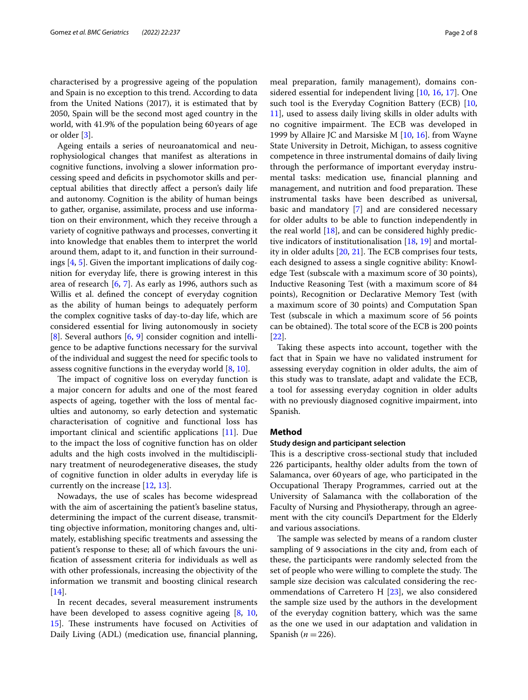characterised by a progressive ageing of the population and Spain is no exception to this trend. According to data from the United Nations (2017), it is estimated that by 2050, Spain will be the second most aged country in the world, with 41.9% of the population being 60years of age or older [[3](#page-7-2)].

Ageing entails a series of neuroanatomical and neurophysiological changes that manifest as alterations in cognitive functions, involving a slower information processing speed and defcits in psychomotor skills and perceptual abilities that directly afect a person's daily life and autonomy. Cognition is the ability of human beings to gather, organise, assimilate, process and use information on their environment, which they receive through a variety of cognitive pathways and processes, converting it into knowledge that enables them to interpret the world around them, adapt to it, and function in their surroundings  $[4, 5]$  $[4, 5]$  $[4, 5]$  $[4, 5]$  $[4, 5]$ . Given the important implications of daily cognition for everyday life, there is growing interest in this area of research [[6,](#page-7-5) [7](#page-7-6)]. As early as 1996, authors such as Willis et al. defned the concept of everyday cognition as the ability of human beings to adequately perform the complex cognitive tasks of day-to-day life, which are considered essential for living autonomously in society [[8\]](#page-7-7). Several authors [\[6](#page-7-5), [9\]](#page-7-8) consider cognition and intelligence to be adaptive functions necessary for the survival of the individual and suggest the need for specifc tools to assess cognitive functions in the everyday world [\[8](#page-7-7), [10\]](#page-7-9).

The impact of cognitive loss on everyday function is a major concern for adults and one of the most feared aspects of ageing, together with the loss of mental faculties and autonomy, so early detection and systematic characterisation of cognitive and functional loss has important clinical and scientifc applications [[11\]](#page-7-10). Due to the impact the loss of cognitive function has on older adults and the high costs involved in the multidisciplinary treatment of neurodegenerative diseases, the study of cognitive function in older adults in everyday life is currently on the increase [[12,](#page-7-11) [13](#page-7-12)].

Nowadays, the use of scales has become widespread with the aim of ascertaining the patient's baseline status, determining the impact of the current disease, transmitting objective information, monitoring changes and, ultimately, establishing specifc treatments and assessing the patient's response to these; all of which favours the unifcation of assessment criteria for individuals as well as with other professionals, increasing the objectivity of the information we transmit and boosting clinical research [[14\]](#page-7-13).

In recent decades, several measurement instruments have been developed to assess cognitive ageing [[8,](#page-7-7) [10](#page-7-9), [15\]](#page-7-14). These instruments have focused on Activities of Daily Living (ADL) (medication use, fnancial planning,

meal preparation, family management), domains considered essential for independent living [[10,](#page-7-9) [16,](#page-7-15) [17\]](#page-7-16). One such tool is the Everyday Cognition Battery (ECB) [[10](#page-7-9), [11\]](#page-7-10), used to assess daily living skills in older adults with no cognitive impairment. The ECB was developed in 1999 by Allaire JC and Marsiske M [[10,](#page-7-9) [16](#page-7-15)]. from Wayne State University in Detroit, Michigan, to assess cognitive competence in three instrumental domains of daily living through the performance of important everyday instrumental tasks: medication use, fnancial planning and management, and nutrition and food preparation. These instrumental tasks have been described as universal, basic and mandatory [\[7](#page-7-6)] and are considered necessary for older adults to be able to function independently in the real world [\[18\]](#page-7-17), and can be considered highly predictive indicators of institutionalisation [\[18](#page-7-17), [19\]](#page-7-18) and mortality in older adults  $[20, 21]$  $[20, 21]$  $[20, 21]$ . The ECB comprises four tests, each designed to assess a single cognitive ability: Knowledge Test (subscale with a maximum score of 30 points), Inductive Reasoning Test (with a maximum score of 84 points), Recognition or Declarative Memory Test (with a maximum score of 30 points) and Computation Span Test (subscale in which a maximum score of 56 points can be obtained). The total score of the ECB is 200 points [[22\]](#page-7-21).

Taking these aspects into account, together with the fact that in Spain we have no validated instrument for assessing everyday cognition in older adults, the aim of this study was to translate, adapt and validate the ECB, a tool for assessing everyday cognition in older adults with no previously diagnosed cognitive impairment, into Spanish.

#### **Method**

#### **Study design and participant selection**

This is a descriptive cross-sectional study that included 226 participants, healthy older adults from the town of Salamanca, over 60years of age, who participated in the Occupational Therapy Programmes, carried out at the University of Salamanca with the collaboration of the Faculty of Nursing and Physiotherapy, through an agreement with the city council's Department for the Elderly and various associations.

The sample was selected by means of a random cluster sampling of 9 associations in the city and, from each of these, the participants were randomly selected from the set of people who were willing to complete the study. The sample size decision was calculated considering the recommendations of Carretero H [[23\]](#page-7-22), we also considered the sample size used by the authors in the development of the everyday cognition battery, which was the same as the one we used in our adaptation and validation in Spanish  $(n=226)$ .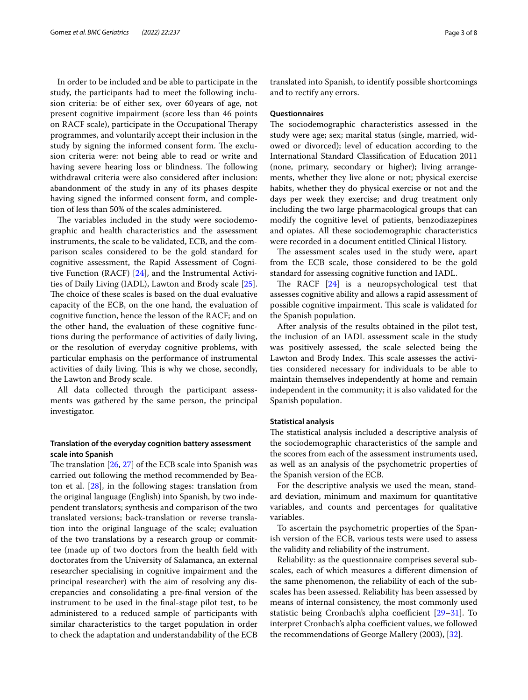In order to be included and be able to participate in the study, the participants had to meet the following inclusion criteria: be of either sex, over 60years of age, not present cognitive impairment (score less than 46 points on RACF scale), participate in the Occupational Therapy programmes, and voluntarily accept their inclusion in the study by signing the informed consent form. The exclusion criteria were: not being able to read or write and having severe hearing loss or blindness. The following withdrawal criteria were also considered after inclusion: abandonment of the study in any of its phases despite having signed the informed consent form, and completion of less than 50% of the scales administered.

The variables included in the study were sociodemographic and health characteristics and the assessment instruments, the scale to be validated, ECB, and the comparison scales considered to be the gold standard for cognitive assessment, the Rapid Assessment of Cognitive Function (RACF) [[24\]](#page-7-23), and the Instrumental Activities of Daily Living (IADL), Lawton and Brody scale [\[25](#page-7-24)]. The choice of these scales is based on the dual evaluative capacity of the ECB, on the one hand, the evaluation of cognitive function, hence the lesson of the RACF; and on the other hand, the evaluation of these cognitive functions during the performance of activities of daily living, or the resolution of everyday cognitive problems, with particular emphasis on the performance of instrumental activities of daily living. This is why we chose, secondly, the Lawton and Brody scale.

All data collected through the participant assessments was gathered by the same person, the principal investigator.

# **Translation of the everyday cognition battery assessment scale into Spanish**

The translation  $[26, 27]$  $[26, 27]$  $[26, 27]$  $[26, 27]$  of the ECB scale into Spanish was carried out following the method recommended by Beaton et al.  $[28]$ , in the following stages: translation from the original language (English) into Spanish, by two independent translators; synthesis and comparison of the two translated versions; back-translation or reverse translation into the original language of the scale; evaluation of the two translations by a research group or committee (made up of two doctors from the health feld with doctorates from the University of Salamanca, an external researcher specialising in cognitive impairment and the principal researcher) with the aim of resolving any discrepancies and consolidating a pre-fnal version of the instrument to be used in the fnal-stage pilot test, to be administered to a reduced sample of participants with similar characteristics to the target population in order to check the adaptation and understandability of the ECB translated into Spanish, to identify possible shortcomings and to rectify any errors.

## **Questionnaires**

The sociodemographic characteristics assessed in the study were age; sex; marital status (single, married, widowed or divorced); level of education according to the International Standard Classifcation of Education 2011 (none, primary, secondary or higher); living arrangements, whether they live alone or not; physical exercise habits, whether they do physical exercise or not and the days per week they exercise; and drug treatment only including the two large pharmacological groups that can modify the cognitive level of patients, benzodiazepines and opiates. All these sociodemographic characteristics were recorded in a document entitled Clinical History.

The assessment scales used in the study were, apart from the ECB scale, those considered to be the gold standard for assessing cognitive function and IADL.

The RACF  $[24]$  $[24]$  is a neuropsychological test that assesses cognitive ability and allows a rapid assessment of possible cognitive impairment. This scale is validated for the Spanish population.

After analysis of the results obtained in the pilot test, the inclusion of an IADL assessment scale in the study was positively assessed, the scale selected being the Lawton and Brody Index. This scale assesses the activities considered necessary for individuals to be able to maintain themselves independently at home and remain independent in the community; it is also validated for the Spanish population.

#### **Statistical analysis**

The statistical analysis included a descriptive analysis of the sociodemographic characteristics of the sample and the scores from each of the assessment instruments used, as well as an analysis of the psychometric properties of the Spanish version of the ECB.

For the descriptive analysis we used the mean, standard deviation, minimum and maximum for quantitative variables, and counts and percentages for qualitative variables.

To ascertain the psychometric properties of the Spanish version of the ECB, various tests were used to assess the validity and reliability of the instrument.

Reliability: as the questionnaire comprises several subscales, each of which measures a diferent dimension of the same phenomenon, the reliability of each of the subscales has been assessed. Reliability has been assessed by means of internal consistency, the most commonly used statistic being Cronbach's alpha coefficient [[29–](#page-7-28)[31](#page-7-29)]. To interpret Cronbach's alpha coefficient values, we followed the recommendations of George Mallery (2003), [\[32\]](#page-7-30).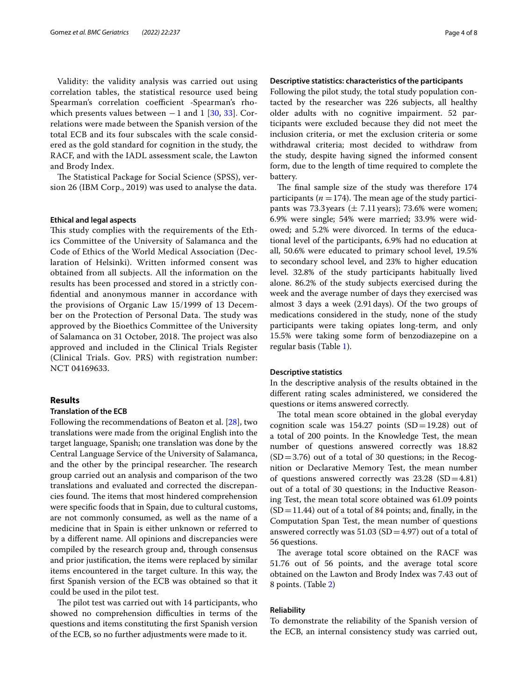Validity: the validity analysis was carried out using correlation tables, the statistical resource used being Spearman's correlation coefficient -Spearman's rhowhich presents values between  $-1$  and 1 [\[30](#page-7-31), [33\]](#page-7-32). Correlations were made between the Spanish version of the total ECB and its four subscales with the scale considered as the gold standard for cognition in the study, the RACF, and with the IADL assessment scale, the Lawton and Brody Index.

The Statistical Package for Social Science (SPSS), version 26 (IBM Corp., 2019) was used to analyse the data.

#### **Ethical and legal aspects**

This study complies with the requirements of the Ethics Committee of the University of Salamanca and the Code of Ethics of the World Medical Association (Declaration of Helsinki). Written informed consent was obtained from all subjects. All the information on the results has been processed and stored in a strictly confdential and anonymous manner in accordance with the provisions of Organic Law 15/1999 of 13 December on the Protection of Personal Data. The study was approved by the Bioethics Committee of the University of Salamanca on 31 October, 2018. The project was also approved and included in the Clinical Trials Register (Clinical Trials. Gov. PRS) with registration number: NCT 04169633.

## **Results**

## **Translation of the ECB**

Following the recommendations of Beaton et al. [[28](#page-7-27)], two translations were made from the original English into the target language, Spanish; one translation was done by the Central Language Service of the University of Salamanca, and the other by the principal researcher. The research group carried out an analysis and comparison of the two translations and evaluated and corrected the discrepancies found. The items that most hindered comprehension were specifc foods that in Spain, due to cultural customs, are not commonly consumed, as well as the name of a medicine that in Spain is either unknown or referred to by a diferent name. All opinions and discrepancies were compiled by the research group and, through consensus and prior justifcation, the items were replaced by similar items encountered in the target culture. In this way, the frst Spanish version of the ECB was obtained so that it could be used in the pilot test.

The pilot test was carried out with 14 participants, who showed no comprehension difficulties in terms of the questions and items constituting the frst Spanish version of the ECB, so no further adjustments were made to it.

#### **Descriptive statistics: characteristics of the participants**

Following the pilot study, the total study population contacted by the researcher was 226 subjects, all healthy older adults with no cognitive impairment. 52 participants were excluded because they did not meet the inclusion criteria, or met the exclusion criteria or some withdrawal criteria; most decided to withdraw from the study, despite having signed the informed consent form, due to the length of time required to complete the battery.

The final sample size of the study was therefore 174 participants ( $n = 174$ ). The mean age of the study participants was 73.3 years ( $\pm$  7.11 years); 73.6% were women; 6.9% were single; 54% were married; 33.9% were widowed; and 5.2% were divorced. In terms of the educational level of the participants, 6.9% had no education at all, 50.6% were educated to primary school level, 19.5% to secondary school level, and 23% to higher education level. 32.8% of the study participants habitually lived alone. 86.2% of the study subjects exercised during the week and the average number of days they exercised was almost 3 days a week (2.91days). Of the two groups of medications considered in the study, none of the study participants were taking opiates long-term, and only 15.5% were taking some form of benzodiazepine on a regular basis (Table [1](#page-4-0)).

#### **Descriptive statistics**

In the descriptive analysis of the results obtained in the diferent rating scales administered, we considered the questions or items answered correctly.

The total mean score obtained in the global everyday cognition scale was  $154.27$  points  $(SD=19.28)$  out of a total of 200 points. In the Knowledge Test, the mean number of questions answered correctly was 18.82  $(SD = 3.76)$  out of a total of 30 questions; in the Recognition or Declarative Memory Test, the mean number of questions answered correctly was  $23.28$  (SD=4.81) out of a total of 30 questions; in the Inductive Reasoning Test, the mean total score obtained was 61.09 points  $(SD = 11.44)$  out of a total of 84 points; and, finally, in the Computation Span Test, the mean number of questions answered correctly was  $51.03$  (SD = 4.97) out of a total of 56 questions.

The average total score obtained on the RACF was 51.76 out of 56 points, and the average total score obtained on the Lawton and Brody Index was 7.43 out of 8 points. (Table [2](#page-4-1))

#### **Reliability**

To demonstrate the reliability of the Spanish version of the ECB, an internal consistency study was carried out,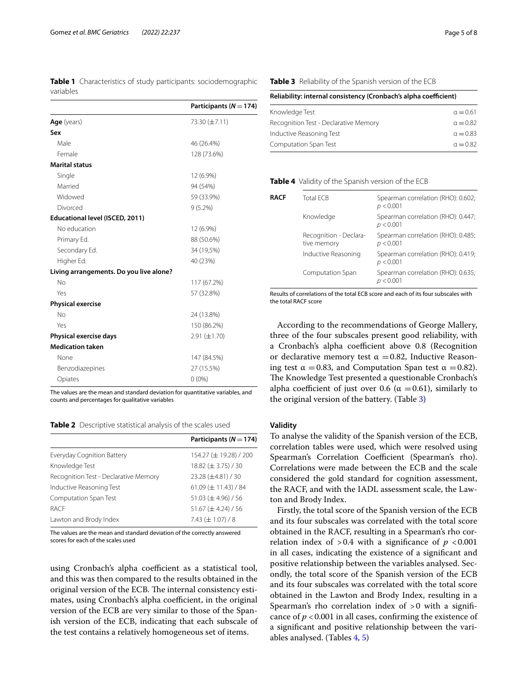<span id="page-4-0"></span>**Table 1** Characteristics of study participants: sociodemographic variables

|                                         | Participants ( $N = 174$ ) |
|-----------------------------------------|----------------------------|
| Age (years)                             | 73.30 (±7.11)              |
| Sex                                     |                            |
| Male                                    | 46 (26.4%)                 |
| Female                                  | 128 (73.6%)                |
| <b>Marital status</b>                   |                            |
| Single                                  | 12 (6.9%)                  |
| Married                                 | 94 (54%)                   |
| Widowed                                 | 59 (33.9%)                 |
| Divorced                                | $9(5.2\%)$                 |
| Educational level (ISCED, 2011)         |                            |
| No education                            | 12 (6.9%)                  |
| Primary Ed.                             | 88 (50.6%)                 |
| Secondary Ed.                           | 34 (19,5%)                 |
| Higher Ed.                              | 40 (23%)                   |
| Living arrangements. Do you live alone? |                            |
| No                                      | 117 (67.2%)                |
| Yes                                     | 57 (32.8%)                 |
| <b>Physical exercise</b>                |                            |
| No                                      | 24 (13.8%)                 |
| Yes                                     | 150 (86.2%)                |
| Physical exercise days                  | $2.91 (\pm 1.70)$          |
| <b>Medication taken</b>                 |                            |
| None                                    | 147 (84.5%)                |
| Benzodiazepines                         | 27 (15.5%)                 |
| Opiates                                 | $0(0\%)$                   |

The values are the mean and standard deviation for quantitative variables, and counts and percentages for qualitative variables

#### <span id="page-4-1"></span>**Table 2** Descriptive statistical analysis of the scales used

|                                       | Participants ( $N = 174$ )            |
|---------------------------------------|---------------------------------------|
| Everyday Cognition Battery            | 154.27 ( $\pm$ 19.28) / 200           |
| Knowledge Test                        | $18.82 \ (\pm 3.75) / 30$             |
| Recognition Test - Declarative Memory | 23.28 (±4.81) / 30                    |
| Inductive Reasoning Test              | $61.09 \left( \pm 11.43 \right) / 84$ |
| Computation Span Test                 | $51.03 \ (\pm 4.96) / 56$             |
| RACE                                  | $51.67 \ (\pm 4.24) / 56$             |
| Lawton and Brody Index                | 7.43 $(\pm 1.07)/8$                   |

The values are the mean and standard deviation of the correctly answered scores for each of the scales used

using Cronbach's alpha coefficient as a statistical tool, and this was then compared to the results obtained in the original version of the ECB. The internal consistency estimates, using Cronbach's alpha coefficient, in the original version of the ECB are very similar to those of the Spanish version of the ECB, indicating that each subscale of the test contains a relatively homogeneous set of items.

## <span id="page-4-2"></span>**Table 3** Reliability of the Spanish version of the ECB

| Reliability: internal consistency (Cronbach's alpha coefficient) |  |  |  |  |
|------------------------------------------------------------------|--|--|--|--|
|------------------------------------------------------------------|--|--|--|--|

| Knowledge Test                        | $a = 0.61$      |
|---------------------------------------|-----------------|
| Recognition Test - Declarative Memory | $a = 0.82$      |
| Inductive Reasoning Test              | $\alpha = 0.83$ |
| Computation Span Test                 | $a = 0.82$      |

#### <span id="page-4-3"></span>**Table 4** Validity of the Spanish version of the ECB

| <b>RACF</b> | Total FCB                             | Spearman correlation (RHO): 0.602;<br>p < 0.001 |
|-------------|---------------------------------------|-------------------------------------------------|
|             | Knowledge                             | Spearman correlation (RHO): 0.447;<br>p < 0.001 |
|             | Recognition - Declara-<br>tive memory | Spearman correlation (RHO): 0.485;<br>p < 0.001 |
|             | Inductive Reasoning                   | Spearman correlation (RHO): 0.419;<br>p < 0.001 |
|             | Computation Span                      | Spearman correlation (RHO): 0.635;<br>p < 0.001 |

Results of correlations of the total ECB score and each of its four subscales with the total RACF score

According to the recommendations of George Mallery, three of the four subscales present good reliability, with a Cronbach's alpha coefficient above 0.8 (Recognition or declarative memory test  $\alpha = 0.82$ , Inductive Reasoning test  $\alpha = 0.83$ , and Computation Span test  $\alpha = 0.82$ ). The Knowledge Test presented a questionable Cronbach's alpha coefficient of just over 0.6 ( $\alpha$  =0.61), similarly to the original version of the battery. (Table [3\)](#page-4-2)

### **Validity**

To analyse the validity of the Spanish version of the ECB, correlation tables were used, which were resolved using Spearman's Correlation Coefficient (Spearman's rho). Correlations were made between the ECB and the scale considered the gold standard for cognition assessment, the RACF, and with the IADL assessment scale, the Lawton and Brody Index.

Firstly, the total score of the Spanish version of the ECB and its four subscales was correlated with the total score obtained in the RACF, resulting in a Spearman's rho correlation index of  $> 0.4$  with a significance of  $p < 0.001$ in all cases, indicating the existence of a signifcant and positive relationship between the variables analysed. Secondly, the total score of the Spanish version of the ECB and its four subscales was correlated with the total score obtained in the Lawton and Brody Index, resulting in a Spearman's rho correlation index of  $>0$  with a significance of  $p < 0.001$  in all cases, confirming the existence of a signifcant and positive relationship between the variables analysed. (Tables [4,](#page-4-3) [5](#page-5-0))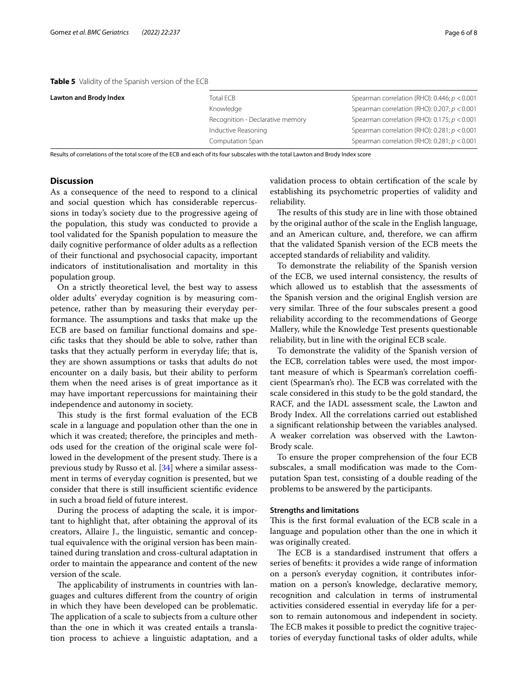<span id="page-5-0"></span>**Table 5** Validity of the Spanish version of the ECB

| <b>Lawton and Brody Index</b> | Total ECB                        | Spearman correlation (RHO): 0.446; $p < 0.001$    |
|-------------------------------|----------------------------------|---------------------------------------------------|
|                               | Knowledge                        | Spearman correlation (RHO): 0.207; $p < 0.001$    |
|                               | Recognition - Declarative memory | Spearman correlation (RHO): 0.175; $p < 0.001$    |
|                               | Inductive Reasoning              | Spearman correlation (RHO): $0.281$ ; $p < 0.001$ |
|                               | Computation Span                 | Spearman correlation (RHO): 0.281; $p < 0.001$    |

Results of correlations of the total score of the ECB and each of its four subscales with the total Lawton and Brody Index score

## **Discussion**

As a consequence of the need to respond to a clinical and social question which has considerable repercussions in today's society due to the progressive ageing of the population, this study was conducted to provide a tool validated for the Spanish population to measure the daily cognitive performance of older adults as a refection of their functional and psychosocial capacity, important indicators of institutionalisation and mortality in this population group.

On a strictly theoretical level, the best way to assess older adults' everyday cognition is by measuring competence, rather than by measuring their everyday performance. The assumptions and tasks that make up the ECB are based on familiar functional domains and specifc tasks that they should be able to solve, rather than tasks that they actually perform in everyday life; that is, they are shown assumptions or tasks that adults do not encounter on a daily basis, but their ability to perform them when the need arises is of great importance as it may have important repercussions for maintaining their independence and autonomy in society.

This study is the first formal evaluation of the ECB scale in a language and population other than the one in which it was created; therefore, the principles and methods used for the creation of the original scale were followed in the development of the present study. There is a previous study by Russo et al. [\[34](#page-7-33)] where a similar assessment in terms of everyday cognition is presented, but we consider that there is still insufficient scientific evidence in such a broad feld of future interest.

During the process of adapting the scale, it is important to highlight that, after obtaining the approval of its creators, Allaire J., the linguistic, semantic and conceptual equivalence with the original version has been maintained during translation and cross-cultural adaptation in order to maintain the appearance and content of the new version of the scale.

The applicability of instruments in countries with languages and cultures diferent from the country of origin in which they have been developed can be problematic. The application of a scale to subjects from a culture other than the one in which it was created entails a translation process to achieve a linguistic adaptation, and a validation process to obtain certifcation of the scale by establishing its psychometric properties of validity and reliability.

The results of this study are in line with those obtained by the original author of the scale in the English language, and an American culture, and, therefore, we can affirm that the validated Spanish version of the ECB meets the accepted standards of reliability and validity.

To demonstrate the reliability of the Spanish version of the ECB, we used internal consistency, the results of which allowed us to establish that the assessments of the Spanish version and the original English version are very similar. Three of the four subscales present a good reliability according to the recommendations of George Mallery, while the Knowledge Test presents questionable reliability, but in line with the original ECB scale.

To demonstrate the validity of the Spanish version of the ECB, correlation tables were used, the most important measure of which is Spearman's correlation coefficient (Spearman's rho). The ECB was correlated with the scale considered in this study to be the gold standard, the RACF, and the IADL assessment scale, the Lawton and Brody Index. All the correlations carried out established a signifcant relationship between the variables analysed. A weaker correlation was observed with the Lawton-Brody scale.

To ensure the proper comprehension of the four ECB subscales, a small modifcation was made to the Computation Span test, consisting of a double reading of the problems to be answered by the participants.

#### **Strengths and limitations**

This is the first formal evaluation of the ECB scale in a language and population other than the one in which it was originally created.

The ECB is a standardised instrument that offers a series of benefts: it provides a wide range of information on a person's everyday cognition, it contributes information on a person's knowledge, declarative memory, recognition and calculation in terms of instrumental activities considered essential in everyday life for a person to remain autonomous and independent in society. The ECB makes it possible to predict the cognitive trajectories of everyday functional tasks of older adults, while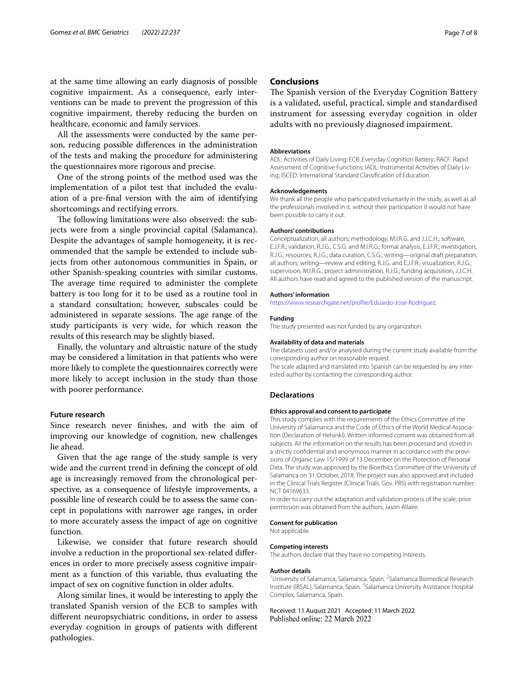at the same time allowing an early diagnosis of possible cognitive impairment. As a consequence, early interventions can be made to prevent the progression of this cognitive impairment, thereby reducing the burden on healthcare, economic and family services.

All the assessments were conducted by the same person, reducing possible diferences in the administration of the tests and making the procedure for administering the questionnaires more rigorous and precise.

One of the strong points of the method used was the implementation of a pilot test that included the evaluation of a pre-fnal version with the aim of identifying shortcomings and rectifying errors.

The following limitations were also observed: the subjects were from a single provincial capital (Salamanca). Despite the advantages of sample homogeneity, it is recommended that the sample be extended to include subjects from other autonomous communities in Spain, or other Spanish-speaking countries with similar customs. The average time required to administer the complete battery is too long for it to be used as a routine tool in a standard consultation; however, subscales could be administered in separate sessions. The age range of the study participants is very wide, for which reason the results of this research may be slightly biased.

Finally, the voluntary and altruistic nature of the study may be considered a limitation in that patients who were more likely to complete the questionnaires correctly were more likely to accept inclusion in the study than those with poorer performance.

#### **Future research**

Since research never fnishes, and with the aim of improving our knowledge of cognition, new challenges lie ahead.

Given that the age range of the study sample is very wide and the current trend in defning the concept of old age is increasingly removed from the chronological perspective, as a consequence of lifestyle improvements, a possible line of research could be to assess the same concept in populations with narrower age ranges, in order to more accurately assess the impact of age on cognitive function.

Likewise, we consider that future research should involve a reduction in the proportional sex-related diferences in order to more precisely assess cognitive impairment as a function of this variable, thus evaluating the impact of sex on cognitive function in older adults.

Along similar lines, it would be interesting to apply the translated Spanish version of the ECB to samples with diferent neuropsychiatric conditions, in order to assess everyday cognition in groups of patients with diferent pathologies.

## **Conclusions**

The Spanish version of the Everyday Cognition Battery is a validated, useful, practical, simple and standardised instrument for assessing everyday cognition in older adults with no previously diagnosed impairment.

#### **Abbreviations**

ADL: Activities of Daily Living; ECB: Everyday Cognition Battery; RACF: Rapid Assessment of Cognitive Functions; IADL: Instrumental Activities of Daily Living; ISCED: International Standard Classifcation of Education.

#### **Acknowledgements**

We thank all the people who participated voluntarily in the study, as well as all the professionals involved in it, without their participation it would not have been possible to carry it out.

#### **Authors' contributions**

Conceptualization, all authors; methodology, M.I.R.G. and J.J.C.H.; software, E.J.F.R.; validation, R.J.G., C.S.G. and M.I.R.G.; formal analysis, E.J.F.R.; investigation, R.J.G.; resources, R.J.G.; data curation, C.S.G.; writing—original draft preparation, all authors; writing—review and editing, R.J.G. and E.J.F.R.; visualization, R.J.G.; supervision, M.I.R.G.; project administration, R.J.G.; funding acquisition, J.J.C.H. All authors have read and agreed to the published version of the manuscript.

#### **Authors' information**

[https://www.researchgate.net/profle/Eduardo-Jose-Rodriguez.](https://www.researchgate.net/profile/Eduardo-Jose-Rodriguez)

#### **Funding**

The study presented was not funded by any organization.

#### **Availability of data and materials**

The datasets used and/or analysed during the current study available from the corresponding author on reasonable request. The scale adapted and translated into Spanish can be requested by any inter-

ested author by contacting the corresponding author.

## **Declarations**

#### **Ethics approval and consent to participate**

This study complies with the requirements of the Ethics Committee of the University of Salamanca and the Code of Ethics of the World Medical Association (Declaration of Helsinki). Written informed consent was obtained from all subjects. All the information on the results has been processed and stored in a strictly confdential and anonymous manner in accordance with the provisions of Organic Law 15/1999 of 13 December on the Protection of Personal Data. The study was approved by the Bioethics Committee of the University of Salamanca on 31 October, 2018. The project was also approved and included in the Clinical Trials Register (Clinical Trials. Gov. PRS) with registration number: NCT 04169633.

In order to carry out the adaptation and validation process of the scale, prior permission was obtained from the authors, Jason Allaire.

#### **Consent for publication**

Not applicable.

#### **Competing interests**

The authors declare that they have no competing interests.

#### **Author details**

<sup>1</sup> University of Salamanca, Salamanca, Spain. <sup>2</sup> Salamanca Biomedical Research Institute (IBSAL), Salamanca, Spain. <sup>3</sup>Salamanca University Assistance Hospital Complex, Salamanca, Spain.

Received: 11 August 2021 Accepted: 11 March 2022Published online: 22 March 2022